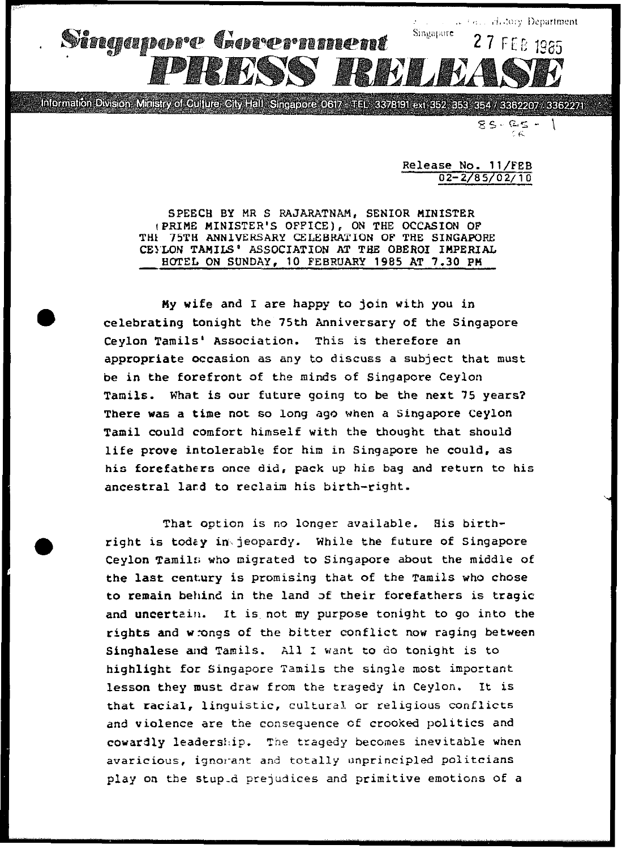

Information Division, Ministry of Culture, City Hall, Singapore 0617 - TEL: 3378191 ext 352, 353, 354 / 3362207 / 3362271

 $85 - 25 -$ 

Release No. 11/FEB 02-2/85/02/10

SPEECH BY MR. S RAJARATNAM, SENIOR MINISTER (PRIME MINISTER'S OFFICE), ON THE OCCASION OF THE 75TH ANNIVERSARY CELEBRATION OF THE SINGAPORE CEYLON TAMILS' ASSOCIATION AT THE OBEROI IMPERIAL HOTEL ON SUNDAY, 10 FEBRUARY 1985 AT 7.30 PM

My wife and I are happy to join with you in celebrating tonight the 75th Anniversary of the Singapore Ceylon Tamils' Association. This is therefore an appropriate occasion as any to discuss a subject that must be in the forefront of the minds of Singapore Ceylon Tamils. What is our future going to be the next 75 years? There was a time not so long ago when a Singapore Ceylon Tamil could comfort himself with the thought that should life prove intolerable for him in Singapore he could, as his forefathers once did, pack up his bag and return to his ancestral lard to reclaim his birth-right.

That option is no longer available. His birthright is today in jeopardy. While the future of Singapore Ceylon Tamils who migrated to Singapore about the middle of the last century is promising that of the Tamils who chose to remain behind in the land of their forefathers is tragic and uncertain. It is not my purpose tonight to go into the rights and wrongs of the bitter conflict now raging between Singhalese and Tamils. All I want to do tonight is to highlight for Singapore Tamils the single most important lesson they must draw from the tragedy in Ceylon. It is that racial, linguistic, cultural or religious conflicts and violence are the consequence of crooked politics and cowardly leadership. The tragedy becomes inevitable when avaricious, ignorant and totally unprincipled politcians play on the stupid prejudices and primitive emotions of a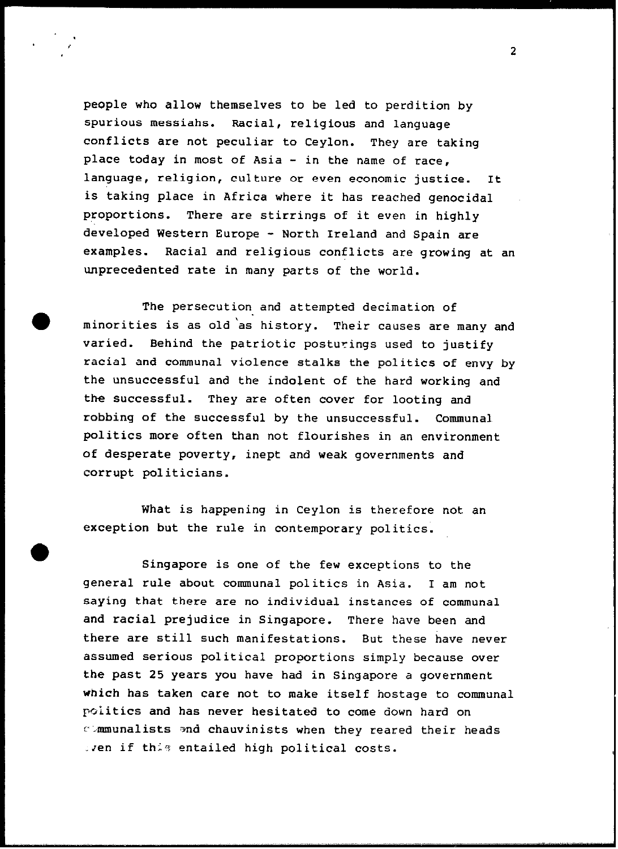people who allow themselves to be led to perdition by spurious messiahs. Racial, religious and language conflicts are not peculiar to Ceylon. They are taking place today in most of Asia - in the name of race, language, religion, culture or even economic justice. It is taking place in Africa where it has reached genocidal proportions. There are stirrings of it even in highly developed Western Europe - North Ireland and Spain are examples. Racial and religious conflicts are growing at an unprecedented rate in many parts of the world.

The persecution and attempted decimation of minorities is as old 'as history. Their causes are many and varied. Behind the patriotic posturings used to justify racial and communal violence stalks the politics of envy by the unsuccessful and the indolent of the hard working and the successful. They are often cover for looting and robbing of the successful by the unsuccessful. Communal politics more often than not flourishes in an environment of desperate poverty, inept and weak governments and corrupt politicians.

What is happening in Ceylon is therefore not an exception but the rule in contemporary politics.

Singapore is one of the few exceptions to the general rule about communal politics in Asia. I am not saying that there are no individual instances of communal and racial prejudice in Singapore. There have been and there are still such manifestations. But these have never assumed serious political proportions simply because over the past 25 years you have had in Singapore a government which has taken care not to make itself hostage to communal politics and has never hesitated to come down hard on communalists and chauvinists when they reared their heads Even if this entailed high political costs.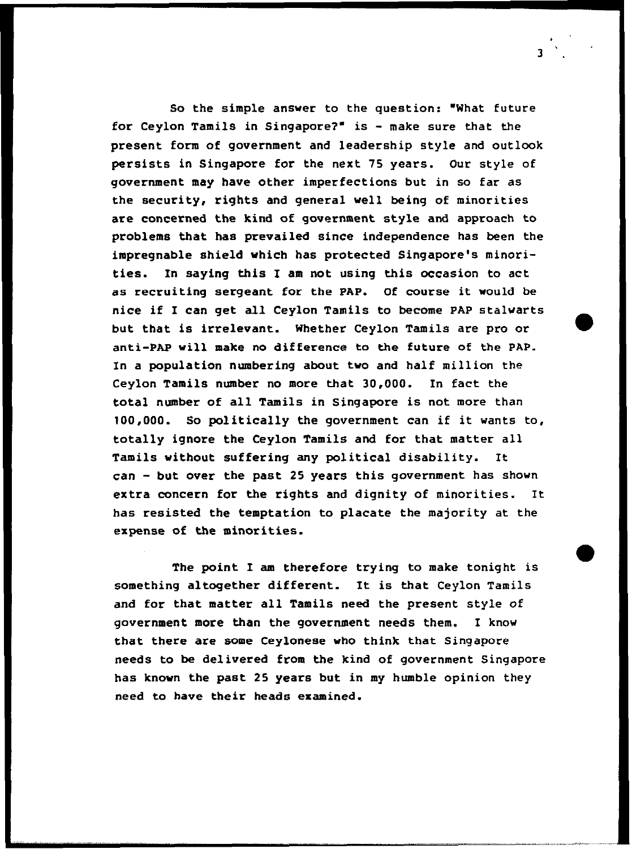So the simple answer to the question: "What future For Ceylon Tamils in Singapore?' is - make sure that the present form of government and leadership style and outlook persists in Singapore for the next 75 years. Our style of government may have other imperfections but in so far as the security, rights and general well being of minorities are concerned the kind of government style and approach to problems that has prevailed since independence has been the impregnable shield which has protected Singapore's minorities. In saying this I am not using this occasion to act as recruiting sergeant for the PAP. Of course it would be nice if I can get all Ceylon Tamils to become PAP stalwarts but that is irrelevant. Whether Ceylon Tamils are pro or anti-PAP will make no difference to the future of the PAP. In a population numbering about two and half million the Ceylon Tamils number no more that 30,000. In fact the total number of all Tamils in Singapore is not more than 100,000. So politically the government can if it wants to, totally ignore the Ceylon Tamils and for that matter all Tamils without suffering any political disability. It can - but over the past 25 years this government has shown extra concern for the rights and dignity of minorities. It has resisted the temptation to placate the majority at the expense of the minorities.

The point I am therefore trying to make tonight is something altogether different. It is that Ceylon Tamils and for that matter all Tamils need the present style of government more than the government needs them. I know that there are some Ceylonese who think that Singapore needs to be delivered from the kind of government Singapore has known the past 25 years but in my humble opinion they need to have their heads examined.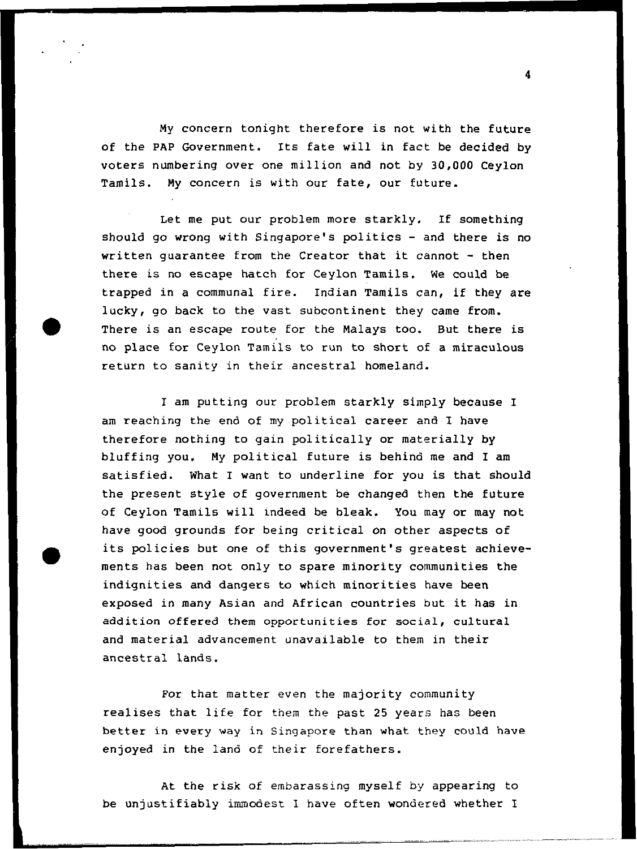My concern tonight therefore is not with the future of the PAP Government. Its fate will in fact be decided by voters numbering over one million and not by 30,000 Ceylon Tamils. My concern is with our fate, our future.

Let me put our problem more starkly. If something should go wrong with Singapore's politics - and there is no written guarantee from the Creator that it cannot - then there is no escape hatch for Ceylon Tamils. We could be trapped in a communal fire. Indian Tamils can, if they are lucky, go back to the vast subcontinent they came from. There is an escape route for the Malays too. But there is no place for Ceylon Tamils to run to short of a miraculous return to sanity in their ancestral homeland.

I am putting our problem starkly simply because I am reaching the end of my political career and I have therefore nothing to gain politically or materially by bluffing you. My political future is behind me and I am satisfied. What I want to underline for you is that should the present style of government be changed then the future of Ceylon Tamils will indeed be bleak. You may or may not have good grounds for being critical on other aspects of its policies but one of this government's greatest achievements has been not only to spare minority communities the indignities and dangers to which minorities have been exposed in many Asian and African countries but it has in addition offered them opportunities for social, cultural and material advancement unavailable to them in their ancestral lands.

For that matter even the majority community realises that life for them the past 25 years has been better in every way in Singapore than what they could have enjoyed in the land of their forefathers.

At the risk of embarassing myself by appearing to be unjustifiably immodest I have often wondered whether I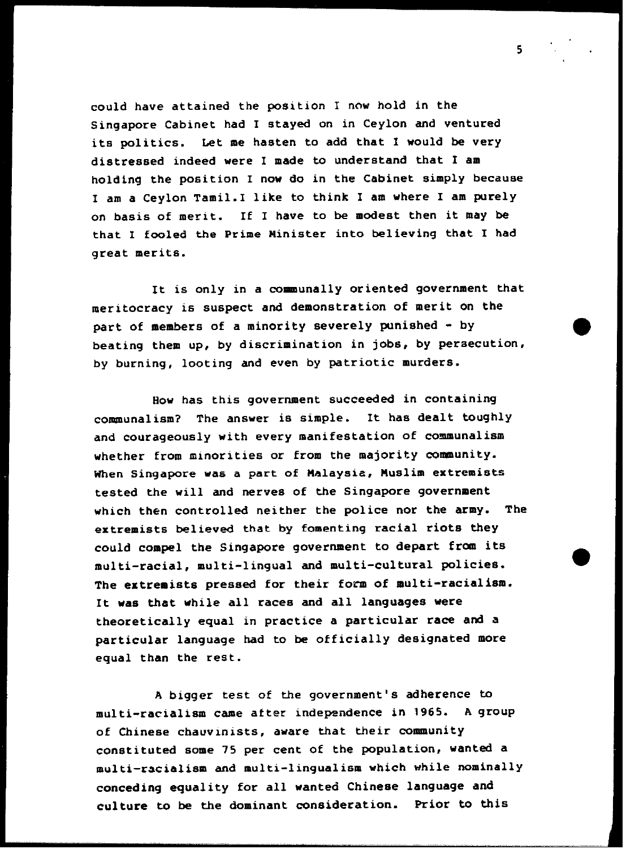could have attained the position I now hold in the Singapore Cabinet had I stayed on in Ceylon and ventured its politics. Let me hasten to add that I would be very distressed indeed were I made to understand that I am holding the position I now do in the Cabinet simply because I am a Ceylon Tamil. I like to think I am where I am purely on basis of merit. If I have to be modest then it may be that I fooled the Prime minister into believing that I had great merits.

It is only in a communally oriented government that meritocracy is suspect and demonstration of merit on the part of members of a minority severely punished - by beating them up, by discrimination in jobs, by persecution, by burning, looting and even by patriotic murders.

Sow has this government succeeded in containing communalism? The answer is simple. It has dealt toughly and courageously with every manifestation of communalism whether from minorities or from the majority community. When Singapore was a part of Malaysia, Muslim extremists tested the will and nerves of the Singapore government which then controlled neither the police nor the army. The extremists believed that by fomenting racial riots they could compel the Singapore government to depart from its multi-racial, multi-lingual and multi-cultural policies. The extremists pressed for their form of multi-racialism. It was that while all races and all languages were theoretically equal in practice a particular race and a particular language had to be officially designated more equal than the rest.

A bigger test of the government's adherence to multi-racialism came after independence in 1965. A group of Chinese chauvinists, aware that their community constituted some 75 per cent of the population, wanted a multi-racialism and multi-lingualism which while nominally conceding equality for all wanted Chinese language and culture to be the dominant consideration. Prior to this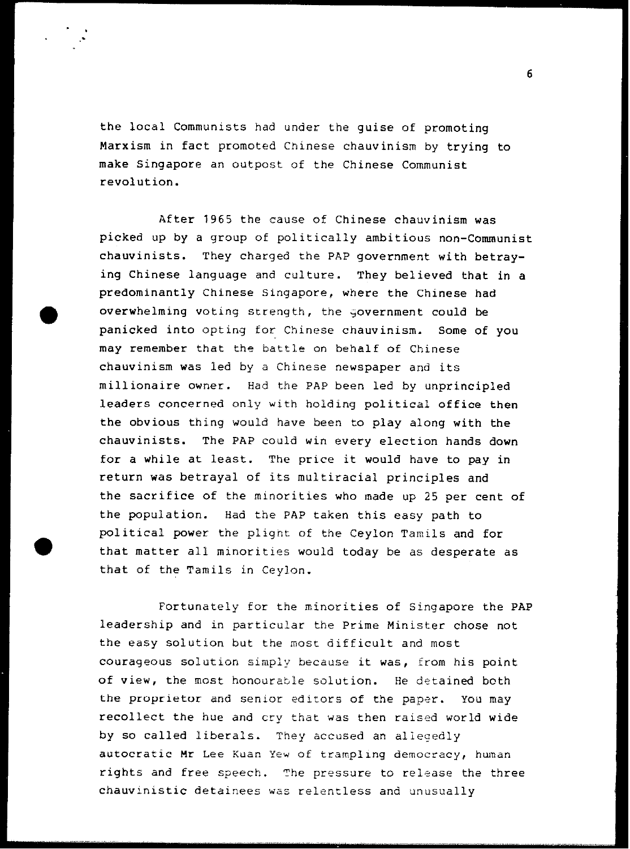the local Communists had under the guise of promoting Marxism in fact promoted Chinese chauvinism by trying to make Singapore an outpost of the Chinese Communist revolution.

After 1965 the cause of Chinese chauvinism was picked up by a group of politically ambitious non-Communist chauvinists. They charged the PAP government with betraying Chinese language and culture. They believed that in a predominantly Chinese Singapore, where the Chinese had overwhelming voting strength, the government could be panicked into opting for Chinese chauvinism. Some of you may remember that the battle on behalf of Chinese chauvinism was Led by a Chinese newspaper and its millionaire owner. Had the PAP been led by unprincipled leaders concerned only with holding political office then the obvious thing would have been to play along with the chauvinists. The PAP could win every election hands down for a while at least. The price it would have to pay in return was betrayal of its multiracial principles and the sacrifice of the minorities who made up 25 per cent of the population. Had the PAP taken this easy path to political power the plight of the Ceylon Tamils and for that matter all minorities would today be as desperate as that of the Tamils in Ceylon.

Fortunately for the minorities of Singapore the PAP leadership and in particular the Prime Minister chose not the easy solution but the most difficult and most courageous solution simply because it was, from his point of view, the most honourable solution. He detained both the proprietor and senior editors of the paper. You may recollect the hue and cry that was then raised world wide by so called liberals. They accused an allegedly autocratic Mr Lee Kuan Yew of trampling democracy, human rights and free speech. The pressure to release the three chauvinistic detainees was relentless and unusually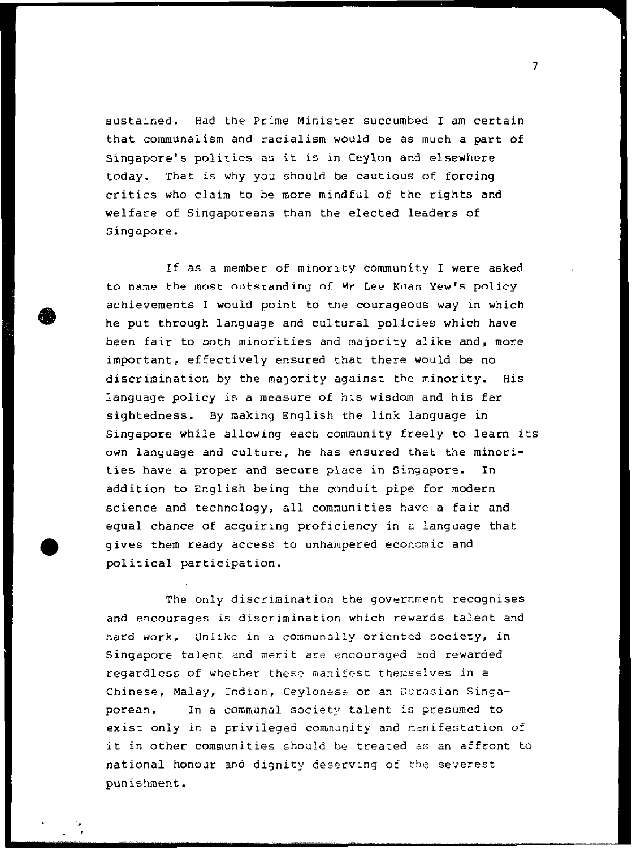sustained. Had the Prime Minister succumbed I am certain that communalism and racialism would be as much a part of Singapore's politics as it is in Ceylon and elsewhere today. That is why you should be cautious of forcing critics who claim to be more mindful of the rights and welfare of Singaporeans than the elected leaders of Singapore.

If as a member of minority community I were asked to name the most outstanding of Mr Lee Kuan Yew's policy achievements I would point to the courageous way in which he put through language and cultural policies which have been fair to both minorities and majority alike and, more important, effectively ensured that there would be no discrimination by the majority against the minority. His language policy is a measure of his wisdom and his far sightedness. By making English the link language in Singapore while allowing each community freely to learn its own language and culture, he has ensured that the minorities have a proper and secure place in Singapore. In addition to English being the conduit pipe for modern science and technology, all communities have a fair and equal chance of acquiring proficiency in a language that gives them ready access to unhampered economic and political participation.

The only discrimination the government recognises and encourages is discrimination which rewards talent and hard work. Unlike in a communally oriented society, in Singapore talent and merit are encouraged and rewarded regardless of whether these manifest themselves in a Chinese, Malay, Indian, Ceylonese or an Eurasian Singaporean. In a communal society talent is presumed to exist only in a privileged community and manifestation of it in other communities should be treated as an affront to national honour and dignity deserving of the severest punishment.